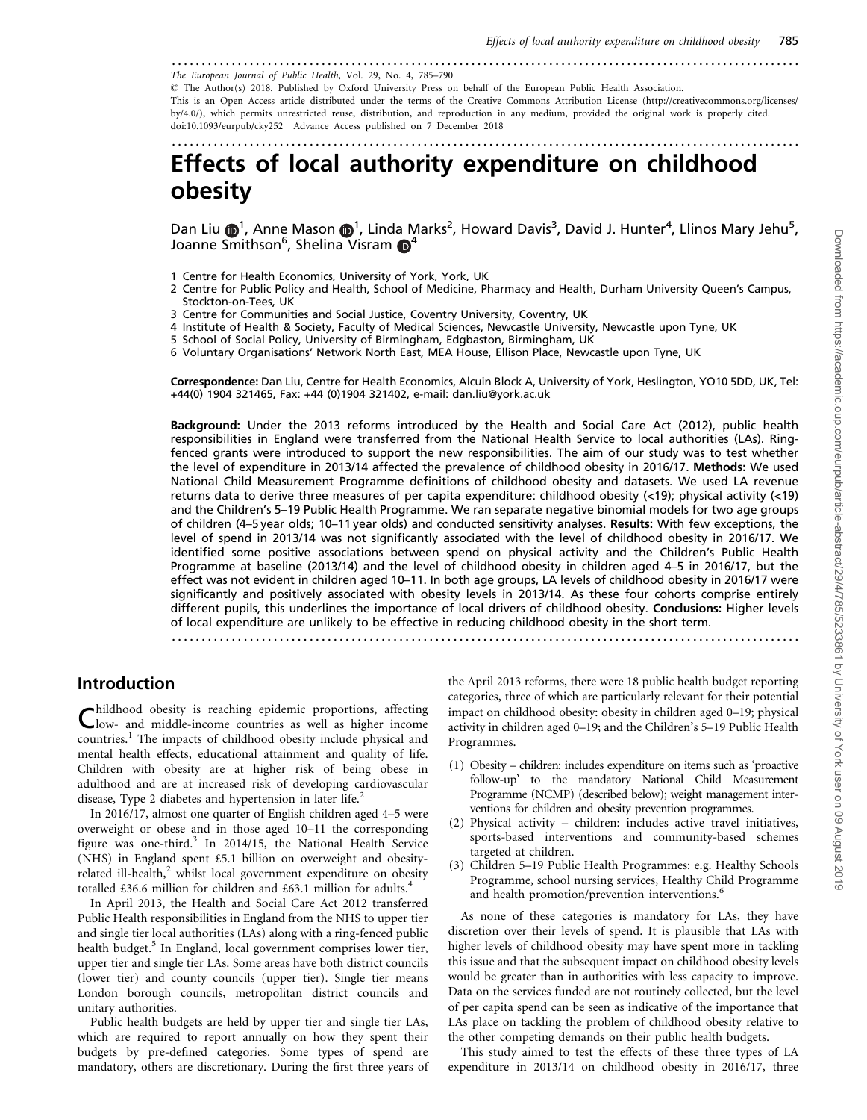#### .........................................................................................................

The European Journal of Public Health, Vol. 29, No. 4, 785–790

- The Author(s) 2018. Published by Oxford University Press on behalf of the European Public Health Association.

This is an Open Access article distributed under the terms of the Creative Commons Attribution License (http://creativecommons.org/licenses/ by/4.0/), which permits unrestricted reuse, distribution, and reproduction in any medium, provided the original work is properly cited. doi:10.1093/eurpub/cky252 Advance Access published on 7 December 2018

.........................................................................................................

# Effects of local authority expenditure on childhood obesity

Dan Liu  $\bigcirc$ <sup>1</sup>, Anne Mason  $\bigcirc$ <sup>1</sup>, Linda Marks<sup>2</sup>, Howard Davis<sup>3</sup>, David J. Hunter<sup>4</sup>, Llinos Mary Jehu<sup>5</sup>, Joanne Smithson<sup>6</sup>, Shelina Visram **D**<sup>4</sup>

- 1 Centre for Health Economics, University of York, York, UK
- 2 Centre for Public Policy and Health, School of Medicine, Pharmacy and Health, Durham University Queen's Campus, Stockton-on-Tees, UK
- 3 Centre for Communities and Social Justice, Coventry University, Coventry, UK
- 4 Institute of Health & Society, Faculty of Medical Sciences, Newcastle University, Newcastle upon Tyne, UK
- 5 School of Social Policy, University of Birmingham, Edgbaston, Birmingham, UK
- 6 Voluntary Organisations' Network North East, MEA House, Ellison Place, Newcastle upon Tyne, UK

Correspondence: Dan Liu, Centre for Health Economics, Alcuin Block A, University of York, Heslington, YO10 5DD, UK, Tel: +44(0) 1904 321465, Fax: +44 (0)1904 321402, e-mail: dan.liu@york.ac.uk

Background: Under the 2013 reforms introduced by the Health and Social Care Act (2012), public health responsibilities in England were transferred from the National Health Service to local authorities (LAs). Ringfenced grants were introduced to support the new responsibilities. The aim of our study was to test whether the level of expenditure in 2013/14 affected the prevalence of childhood obesity in 2016/17. Methods: We used National Child Measurement Programme definitions of childhood obesity and datasets. We used LA revenue returns data to derive three measures of per capita expenditure: childhood obesity (<19); physical activity (<19) and the Children's 5–19 Public Health Programme. We ran separate negative binomial models for two age groups of children (4–5 year olds; 10–11 year olds) and conducted sensitivity analyses. Results: With few exceptions, the level of spend in 2013/14 was not significantly associated with the level of childhood obesity in 2016/17. We identified some positive associations between spend on physical activity and the Children's Public Health Programme at baseline (2013/14) and the level of childhood obesity in children aged 4–5 in 2016/17, but the effect was not evident in children aged 10–11. In both age groups, LA levels of childhood obesity in 2016/17 were significantly and positively associated with obesity levels in 2013/14. As these four cohorts comprise entirely different pupils, this underlines the importance of local drivers of childhood obesity. Conclusions: Higher levels of local expenditure are unlikely to be effective in reducing childhood obesity in the short term.

.........................................................................................................

#### Introduction

Childhood obesity is reaching epidemic proportions, affecting low- and middle-income countries as well as higher income countries.<sup>1</sup> The impacts of childhood obesity include physical and mental health effects, educational attainment and quality of life. Children with obesity are at higher risk of being obese in adulthood and are at increased risk of developing cardiovascular disease, Type 2 diabetes and hypertension in later life.<sup>2</sup>

In 2016/17, almost one quarter of English children aged 4–5 were overweight or obese and in those aged 10–11 the corresponding figure was one-third.<sup>3</sup> In 2014/15, the National Health Service (NHS) in England spent £5.1 billion on overweight and obesityrelated ill-health, $2$  whilst local government expenditure on obesity totalled £36.6 million for children and £63.1 million for adults.<sup>4</sup>

In April 2013, the Health and Social Care Act 2012 transferred Public Health responsibilities in England from the NHS to upper tier and single tier local authorities (LAs) along with a ring-fenced public health budget.<sup>5</sup> In England, local government comprises lower tier, upper tier and single tier LAs. Some areas have both district councils (lower tier) and county councils (upper tier). Single tier means London borough councils, metropolitan district councils and unitary authorities.

Public health budgets are held by upper tier and single tier LAs, which are required to report annually on how they spent their budgets by pre-defined categories. Some types of spend are mandatory, others are discretionary. During the first three years of the April 2013 reforms, there were 18 public health budget reporting categories, three of which are particularly relevant for their potential impact on childhood obesity: obesity in children aged 0–19; physical activity in children aged 0–19; and the Children's 5–19 Public Health Programmes.

- (1) Obesity children: includes expenditure on items such as 'proactive follow-up' to the mandatory National Child Measurement Programme (NCMP) (described below); weight management interventions for children and obesity prevention programmes.
- (2) Physical activity children: includes active travel initiatives, sports-based interventions and community-based schemes targeted at children.
- (3) Children 5–19 Public Health Programmes: e.g. Healthy Schools Programme, school nursing services, Healthy Child Programme and health promotion/prevention interventions.<sup>6</sup>

As none of these categories is mandatory for LAs, they have discretion over their levels of spend. It is plausible that LAs with higher levels of childhood obesity may have spent more in tackling this issue and that the subsequent impact on childhood obesity levels would be greater than in authorities with less capacity to improve. Data on the services funded are not routinely collected, but the level of per capita spend can be seen as indicative of the importance that LAs place on tackling the problem of childhood obesity relative to the other competing demands on their public health budgets.

This study aimed to test the effects of these three types of LA expenditure in 2013/14 on childhood obesity in 2016/17, three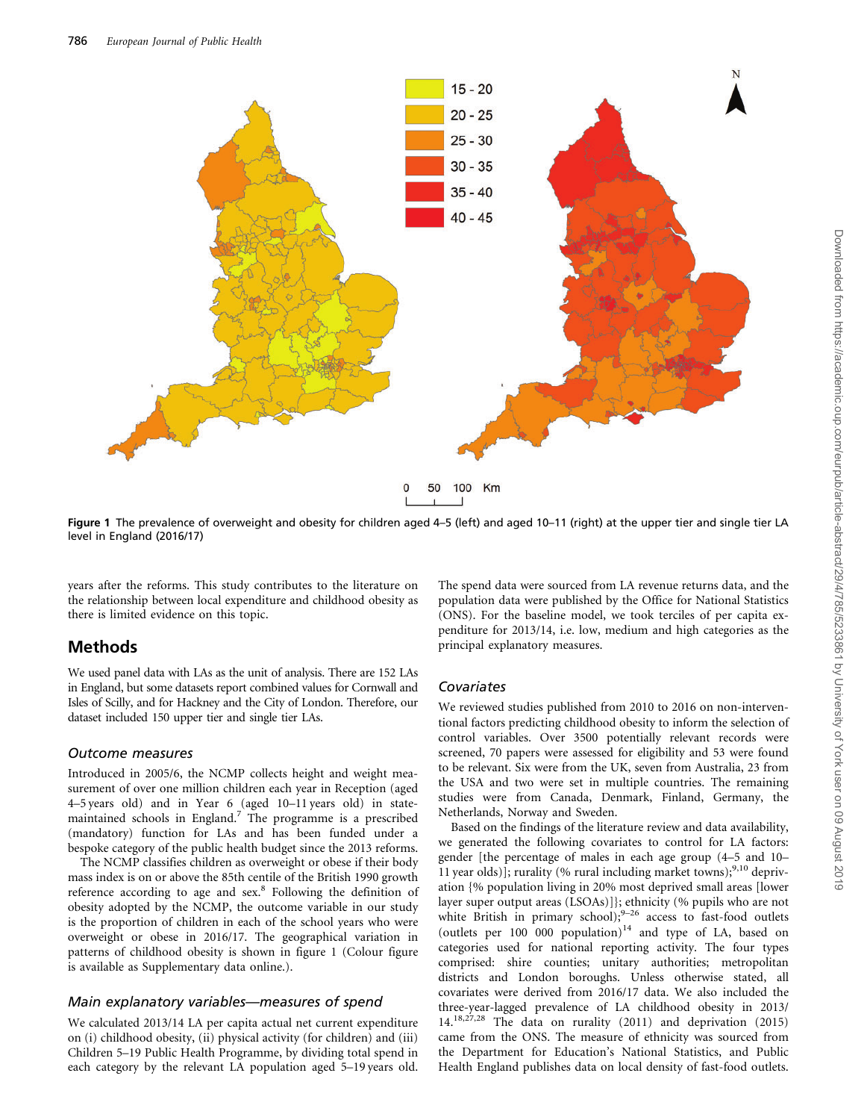

Figure 1 The prevalence of overweight and obesity for children aged 4–5 (left) and aged 10–11 (right) at the upper tier and single tier LA level in England (2016/17)

years after the reforms. This study contributes to the literature on the relationship between local expenditure and childhood obesity as there is limited evidence on this topic.

### Methods

We used panel data with LAs as the unit of analysis. There are 152 LAs in England, but some datasets report combined values for Cornwall and Isles of Scilly, and for Hackney and the City of London. Therefore, our dataset included 150 upper tier and single tier LAs.

#### Outcome measures

Introduced in 2005/6, the NCMP collects height and weight measurement of over one million children each year in Reception (aged 4–5 years old) and in Year 6 (aged 10–11 years old) in statemaintained schools in England.7 The programme is a prescribed (mandatory) function for LAs and has been funded under a bespoke category of the public health budget since the 2013 reforms.

The NCMP classifies children as overweight or obese if their body mass index is on or above the 85th centile of the British 1990 growth reference according to age and sex.<sup>8</sup> Following the definition of obesity adopted by the NCMP, the outcome variable in our study is the proportion of children in each of the school years who were overweight or obese in 2016/17. The geographical variation in patterns of childhood obesity is shown in figure 1 (Colour figure is available as [Supplementary data](https://academic.oup.com/eurpub/article-lookup/doi/10.1093/eurpub/cky252#supplementary-data) online.).

#### Main explanatory variables—measures of spend

We calculated 2013/14 LA per capita actual net current expenditure on (i) childhood obesity, (ii) physical activity (for children) and (iii) Children 5–19 Public Health Programme, by dividing total spend in each category by the relevant LA population aged 5–19 years old.

The spend data were sourced from LA revenue returns data, and the population data were published by the Office for National Statistics (ONS). For the baseline model, we took terciles of per capita expenditure for 2013/14, i.e. low, medium and high categories as the principal explanatory measures.

### Covariates

We reviewed studies published from 2010 to 2016 on non-interventional factors predicting childhood obesity to inform the selection of control variables. Over 3500 potentially relevant records were screened, 70 papers were assessed for eligibility and 53 were found to be relevant. Six were from the UK, seven from Australia, 23 from the USA and two were set in multiple countries. The remaining studies were from Canada, Denmark, Finland, Germany, the Netherlands, Norway and Sweden.

Based on the findings of the literature review and data availability, we generated the following covariates to control for LA factors: gender [the percentage of males in each age group (4–5 and 10– 11 year olds)]; rurality (% rural including market towns);<sup>9,10</sup> deprivation {% population living in 20% most deprived small areas [lower layer super output areas (LSOAs)]}; ethnicity (% pupils who are not white British in primary school); $9-26$  access to fast-food outlets (outlets per  $100\ 000\$  population)<sup>14</sup> and type of LA, based on categories used for national reporting activity. The four types comprised: shire counties; unitary authorities; metropolitan districts and London boroughs. Unless otherwise stated, all covariates were derived from 2016/17 data. We also included the three-year-lagged prevalence of LA childhood obesity in 2013/ 14.18,27,28 The data on rurality (2011) and deprivation (2015) came from the ONS. The measure of ethnicity was sourced from the Department for Education's National Statistics, and Public Health England publishes data on local density of fast-food outlets.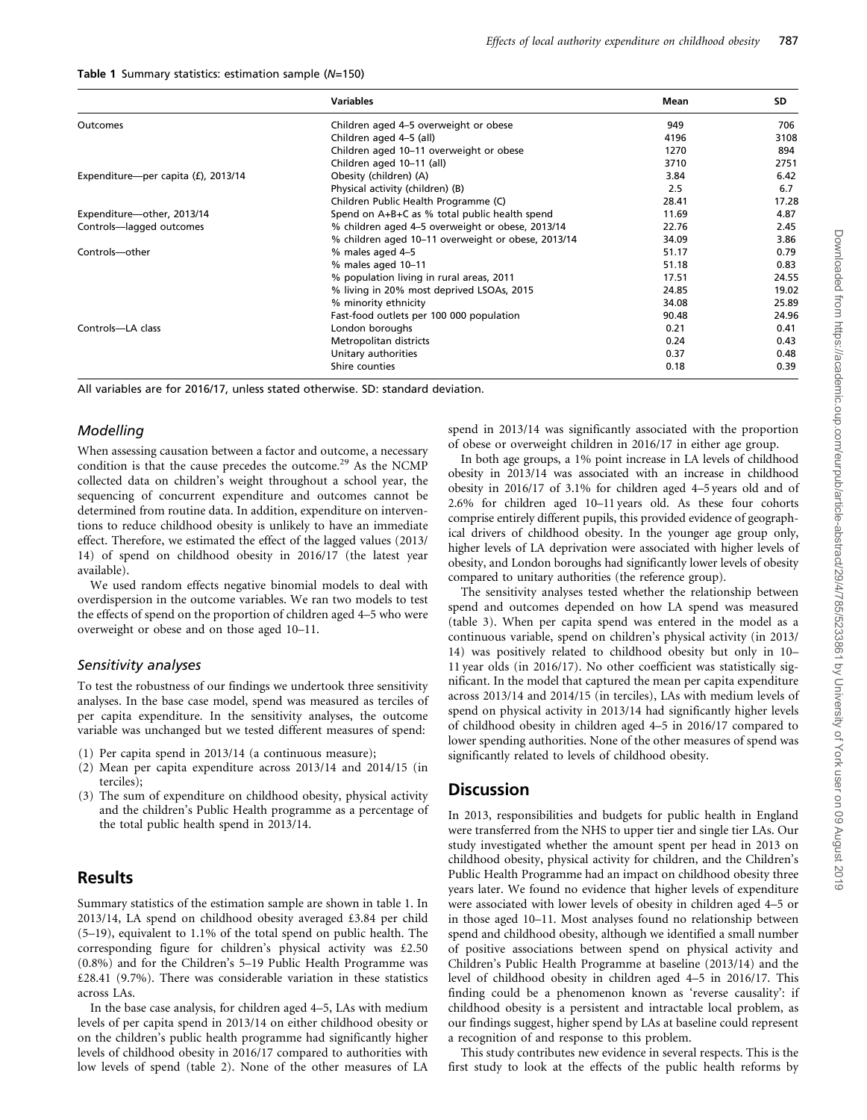|  |  |  | Table 1 Summary statistics: estimation sample (N=150) |  |  |
|--|--|--|-------------------------------------------------------|--|--|
|--|--|--|-------------------------------------------------------|--|--|

|                                     | <b>Variables</b>                                   | Mean  | SD    |
|-------------------------------------|----------------------------------------------------|-------|-------|
| Outcomes                            | Children aged 4-5 overweight or obese              | 949   | 706   |
|                                     | Children aged 4-5 (all)                            | 4196  | 3108  |
|                                     | Children aged 10-11 overweight or obese            | 1270  | 894   |
|                                     | Children aged 10-11 (all)                          | 3710  | 2751  |
| Expenditure-per capita (£), 2013/14 | Obesity (children) (A)                             | 3.84  | 6.42  |
|                                     | Physical activity (children) (B)                   | 2.5   | 6.7   |
|                                     | Children Public Health Programme (C)               | 28.41 | 17.28 |
| Expenditure-other, 2013/14          | Spend on A+B+C as % total public health spend      | 11.69 | 4.87  |
| Controls-lagged outcomes            | % children aged 4-5 overweight or obese, 2013/14   | 22.76 | 2.45  |
|                                     | % children aged 10-11 overweight or obese, 2013/14 | 34.09 | 3.86  |
| Controls-other                      | % males aged 4-5                                   | 51.17 | 0.79  |
|                                     | % males aged 10-11                                 | 51.18 | 0.83  |
|                                     | % population living in rural areas, 2011           | 17.51 | 24.55 |
|                                     | % living in 20% most deprived LSOAs, 2015          | 24.85 | 19.02 |
|                                     | % minority ethnicity                               | 34.08 | 25.89 |
|                                     | Fast-food outlets per 100 000 population           | 90.48 | 24.96 |
| Controls-LA class                   | London boroughs                                    | 0.21  | 0.41  |
|                                     | Metropolitan districts                             | 0.24  | 0.43  |
|                                     | Unitary authorities                                | 0.37  | 0.48  |
|                                     | Shire counties                                     | 0.18  | 0.39  |

All variables are for 2016/17, unless stated otherwise. SD: standard deviation.

#### **Modelling**

When assessing causation between a factor and outcome, a necessary condition is that the cause precedes the outcome.<sup>29</sup> As the NCMP collected data on children's weight throughout a school year, the sequencing of concurrent expenditure and outcomes cannot be determined from routine data. In addition, expenditure on interventions to reduce childhood obesity is unlikely to have an immediate effect. Therefore, we estimated the effect of the lagged values (2013/ 14) of spend on childhood obesity in 2016/17 (the latest year available).

We used random effects negative binomial models to deal with overdispersion in the outcome variables. We ran two models to test the effects of spend on the proportion of children aged 4–5 who were overweight or obese and on those aged 10–11.

#### Sensitivity analyses

To test the robustness of our findings we undertook three sensitivity analyses. In the base case model, spend was measured as terciles of per capita expenditure. In the sensitivity analyses, the outcome variable was unchanged but we tested different measures of spend:

- (1) Per capita spend in 2013/14 (a continuous measure);
- (2) Mean per capita expenditure across 2013/14 and 2014/15 (in terciles);
- (3) The sum of expenditure on childhood obesity, physical activity and the children's Public Health programme as a percentage of the total public health spend in 2013/14.

#### Results

Summary statistics of the estimation sample are shown in table 1. In 2013/14, LA spend on childhood obesity averaged £3.84 per child (5–19), equivalent to 1.1% of the total spend on public health. The corresponding figure for children's physical activity was £2.50 (0.8%) and for the Children's 5–19 Public Health Programme was £28.41 (9.7%). There was considerable variation in these statistics across LAs.

In the base case analysis, for children aged 4–5, LAs with medium levels of per capita spend in 2013/14 on either childhood obesity or on the children's public health programme had significantly higher levels of childhood obesity in 2016/17 compared to authorities with low levels of spend (table 2). None of the other measures of LA spend in 2013/14 was significantly associated with the proportion of obese or overweight children in 2016/17 in either age group.

In both age groups, a 1% point increase in LA levels of childhood obesity in 2013/14 was associated with an increase in childhood obesity in 2016/17 of 3.1% for children aged 4–5 years old and of 2.6% for children aged 10–11 years old. As these four cohorts comprise entirely different pupils, this provided evidence of geographical drivers of childhood obesity. In the younger age group only, higher levels of LA deprivation were associated with higher levels of obesity, and London boroughs had significantly lower levels of obesity compared to unitary authorities (the reference group).

The sensitivity analyses tested whether the relationship between spend and outcomes depended on how LA spend was measured (table 3). When per capita spend was entered in the model as a continuous variable, spend on children's physical activity (in 2013/ 14) was positively related to childhood obesity but only in 10– 11 year olds (in 2016/17). No other coefficient was statistically significant. In the model that captured the mean per capita expenditure across 2013/14 and 2014/15 (in terciles), LAs with medium levels of spend on physical activity in 2013/14 had significantly higher levels of childhood obesity in children aged 4–5 in 2016/17 compared to lower spending authorities. None of the other measures of spend was significantly related to levels of childhood obesity.

### **Discussion**

In 2013, responsibilities and budgets for public health in England were transferred from the NHS to upper tier and single tier LAs. Our study investigated whether the amount spent per head in 2013 on childhood obesity, physical activity for children, and the Children's Public Health Programme had an impact on childhood obesity three years later. We found no evidence that higher levels of expenditure were associated with lower levels of obesity in children aged 4–5 or in those aged 10–11. Most analyses found no relationship between spend and childhood obesity, although we identified a small number of positive associations between spend on physical activity and Children's Public Health Programme at baseline (2013/14) and the level of childhood obesity in children aged 4–5 in 2016/17. This finding could be a phenomenon known as 'reverse causality': if childhood obesity is a persistent and intractable local problem, as our findings suggest, higher spend by LAs at baseline could represent a recognition of and response to this problem.

This study contributes new evidence in several respects. This is the first study to look at the effects of the public health reforms by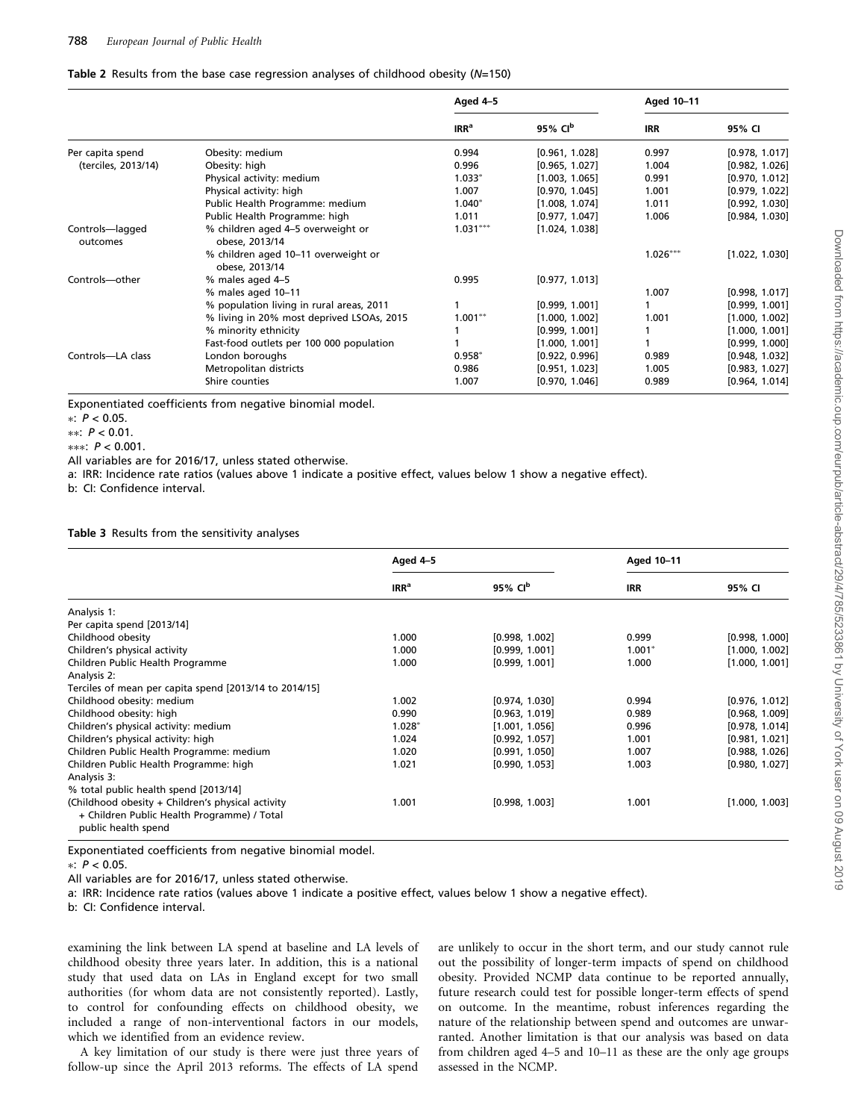#### Table 2 Results from the base case regression analyses of childhood obesity  $(N=150)$

|                             |                                                       | Aged 4-5         |                     | Aged 10-11 |                |
|-----------------------------|-------------------------------------------------------|------------------|---------------------|------------|----------------|
|                             |                                                       | IRR <sup>a</sup> | 95% CI <sup>b</sup> | <b>IRR</b> | 95% CI         |
| Per capita spend            | Obesity: medium                                       | 0.994            | [0.961, 1.028]      | 0.997      | [0.978, 1.017] |
| (terciles, 2013/14)         | Obesity: high                                         | 0.996            | [0.965, 1.027]      | 1.004      | [0.982, 1.026] |
|                             | Physical activity: medium                             | $1.033*$         | [1.003, 1.065]      | 0.991      | [0.970, 1.012] |
|                             | Physical activity: high                               | 1.007            | [0.970, 1.045]      | 1.001      | [0.979, 1.022] |
|                             | Public Health Programme: medium                       | $1.040*$         | [1.008, 1.074]      | 1.011      | [0.992, 1.030] |
|                             | Public Health Programme: high                         | 1.011            | [0.977, 1.047]      | 1.006      | [0.984, 1.030] |
| Controls-lagged<br>outcomes | % children aged 4-5 overweight or<br>obese, 2013/14   | $1.031***$       | [1.024, 1.038]      |            |                |
|                             | % children aged 10-11 overweight or<br>obese, 2013/14 |                  |                     | $1.026***$ | [1.022, 1.030] |
| Controls-other              | % males aged 4-5                                      | 0.995            | [0.977, 1.013]      |            |                |
|                             | % males aged 10-11                                    |                  |                     | 1.007      | [0.998, 1.017] |
|                             | % population living in rural areas, 2011              |                  | [0.999, 1.001]      |            | [0.999, 1.001] |
|                             | % living in 20% most deprived LSOAs, 2015             | $1.001**$        | [1.000, 1.002]      | 1.001      | [1.000, 1.002] |
|                             | % minority ethnicity                                  |                  | [0.999, 1.001]      |            | [1.000, 1.001] |
|                             | Fast-food outlets per 100 000 population              |                  | [1.000, 1.001]      |            | [0.999, 1.000] |
| Controls-LA class           | London boroughs                                       | $0.958*$         | [0.922, 0.996]      | 0.989      | [0.948, 1.032] |
|                             | Metropolitan districts                                | 0.986            | [0.951, 1.023]      | 1.005      | [0.983, 1.027] |
|                             | Shire counties                                        | 1.007            | [0.970, 1.046]      | 0.989      | [0.964, 1.014] |

Exponentiated coefficients from negative binomial model.

 $\ast$ :  $P < 0.05$ .

\*\*:  $P < 0.01$ .

 $***: P < 0.001$ .

All variables are for 2016/17, unless stated otherwise.

a: IRR: Incidence rate ratios (values above 1 indicate a positive effect, values below 1 show a negative effect).

b: CI: Confidence interval.

Table 3 Results from the sensitivity analyses

|                                                                                                                         | Aged 4-5         |                     | Aged 10-11 |                |
|-------------------------------------------------------------------------------------------------------------------------|------------------|---------------------|------------|----------------|
|                                                                                                                         | IRR <sup>a</sup> | 95% CI <sup>b</sup> | <b>IRR</b> | 95% CI         |
| Analysis 1:                                                                                                             |                  |                     |            |                |
| Per capita spend [2013/14]                                                                                              |                  |                     |            |                |
| Childhood obesity                                                                                                       | 1.000            | [0.998, 1.002]      | 0.999      | [0.998, 1.000] |
| Children's physical activity                                                                                            | 1.000            | [0.999, 1.001]      | $1.001*$   | [1.000, 1.002] |
| Children Public Health Programme                                                                                        | 1.000            | [0.999, 1.001]      | 1.000      | [1.000, 1.001] |
| Analysis 2:                                                                                                             |                  |                     |            |                |
| Terciles of mean per capita spend [2013/14 to 2014/15]                                                                  |                  |                     |            |                |
| Childhood obesity: medium                                                                                               | 1.002            | [0.974, 1.030]      | 0.994      | [0.976, 1.012] |
| Childhood obesity: high                                                                                                 | 0.990            | [0.963, 1.019]      | 0.989      | [0.968, 1.009] |
| Children's physical activity: medium                                                                                    | $1.028*$         | [1.001, 1.056]      | 0.996      | [0.978, 1.014] |
| Children's physical activity: high                                                                                      | 1.024            | [0.992, 1.057]      | 1.001      | [0.981, 1.021] |
| Children Public Health Programme: medium                                                                                | 1.020            | [0.991, 1.050]      | 1.007      | [0.988, 1.026] |
| Children Public Health Programme: high                                                                                  | 1.021            | [0.990, 1.053]      | 1.003      | [0.980, 1.027] |
| Analysis 3:                                                                                                             |                  |                     |            |                |
| % total public health spend [2013/14]                                                                                   |                  |                     |            |                |
| (Childhood obesity + Children's physical activity<br>+ Children Public Health Programme) / Total<br>public health spend | 1.001            | [0.998, 1.003]      | 1.001      | [1.000, 1.003] |

Exponentiated coefficients from negative binomial model.

 $\ast$  P < 0.05

All variables are for 2016/17, unless stated otherwise.

a: IRR: Incidence rate ratios (values above 1 indicate a positive effect, values below 1 show a negative effect).

b: CI: Confidence interval.

examining the link between LA spend at baseline and LA levels of childhood obesity three years later. In addition, this is a national study that used data on LAs in England except for two small authorities (for whom data are not consistently reported). Lastly, to control for confounding effects on childhood obesity, we included a range of non-interventional factors in our models, which we identified from an evidence review.

A key limitation of our study is there were just three years of follow-up since the April 2013 reforms. The effects of LA spend

are unlikely to occur in the short term, and our study cannot rule out the possibility of longer-term impacts of spend on childhood obesity. Provided NCMP data continue to be reported annually, future research could test for possible longer-term effects of spend on outcome. In the meantime, robust inferences regarding the nature of the relationship between spend and outcomes are unwarranted. Another limitation is that our analysis was based on data from children aged 4–5 and 10–11 as these are the only age groups assessed in the NCMP.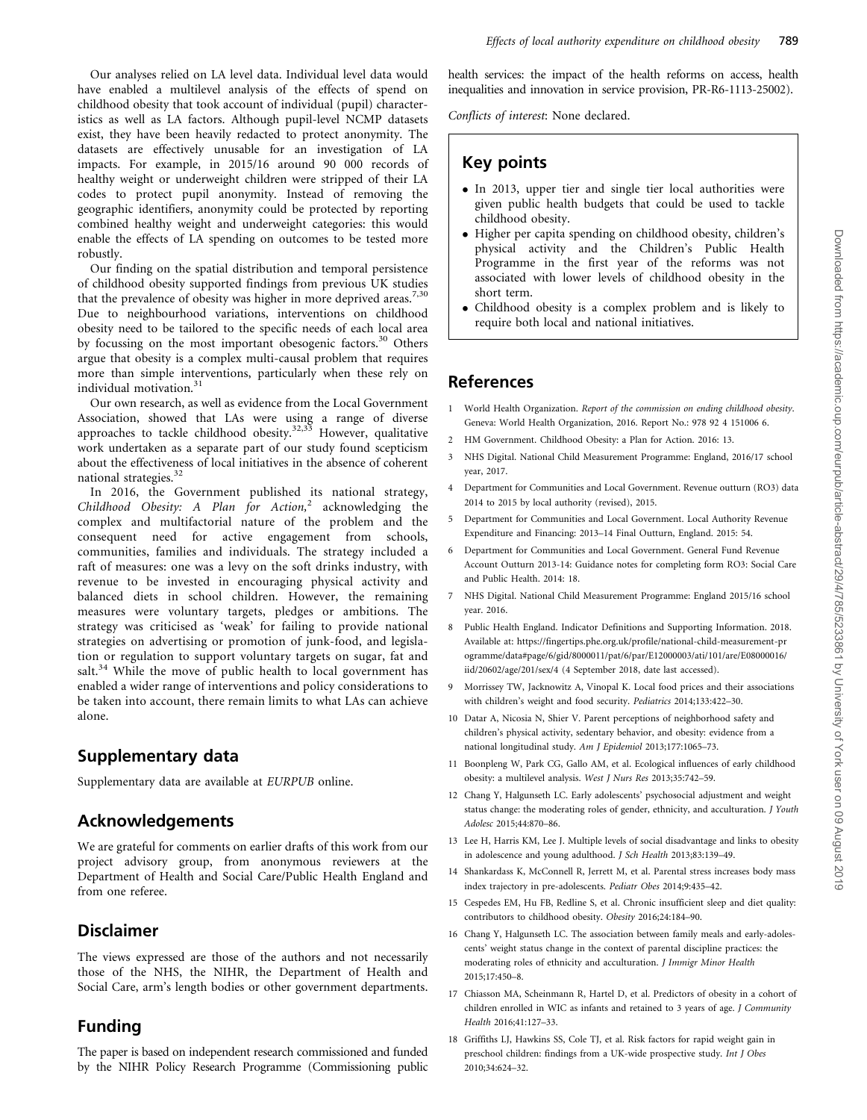exist, they have been heavily redacted to protect anonymity. The datasets are effectively unusable for an investigation of LA impacts. For example, in 2015/16 around 90 000 records of healthy weight or underweight children were stripped of their LA codes to protect pupil anonymity. Instead of removing the geographic identifiers, anonymity could be protected by reporting combined healthy weight and underweight categories: this would enable the effects of LA spending on outcomes to be tested more robustly.

Our finding on the spatial distribution and temporal persistence of childhood obesity supported findings from previous UK studies that the prevalence of obesity was higher in more deprived areas.<sup>7,30</sup> Due to neighbourhood variations, interventions on childhood obesity need to be tailored to the specific needs of each local area by focussing on the most important obesogenic factors.<sup>30</sup> Others argue that obesity is a complex multi-causal problem that requires more than simple interventions, particularly when these rely on individual motivation.<sup>31</sup>

Our own research, as well as evidence from the Local Government Association, showed that LAs were using a range of diverse approaches to tackle childhood obesity.<sup>32,33</sup> However, qualitative work undertaken as a separate part of our study found scepticism about the effectiveness of local initiatives in the absence of coherent national strategies.<sup>32</sup>

In 2016, the Government published its national strategy, Childhood Obesity: A Plan for Action,<sup>2</sup> acknowledging the complex and multifactorial nature of the problem and the consequent need for active engagement from schools, communities, families and individuals. The strategy included a raft of measures: one was a levy on the soft drinks industry, with revenue to be invested in encouraging physical activity and balanced diets in school children. However, the remaining measures were voluntary targets, pledges or ambitions. The strategy was criticised as 'weak' for failing to provide national strategies on advertising or promotion of junk-food, and legislation or regulation to support voluntary targets on sugar, fat and salt.<sup>34</sup> While the move of public health to local government has enabled a wider range of interventions and policy considerations to be taken into account, there remain limits to what LAs can achieve alone.

## Supplementary data

[Supplementary data](https://academic.oup.com/eurpub/article-lookup/doi/10.1093/eurpub/cky252#supplementary-data) are available at EURPUB online.

### Acknowledgements

We are grateful for comments on earlier drafts of this work from our project advisory group, from anonymous reviewers at the Department of Health and Social Care/Public Health England and from one referee.

### Disclaimer

The views expressed are those of the authors and not necessarily those of the NHS, the NIHR, the Department of Health and Social Care, arm's length bodies or other government departments.

## Funding

The paper is based on independent research commissioned and funded by the NIHR Policy Research Programme (Commissioning public health services: the impact of the health reforms on access, health inequalities and innovation in service provision, PR-R6-1113-25002).

Conflicts of interest: None declared.

## Key points

- In 2013, upper tier and single tier local authorities were given public health budgets that could be used to tackle childhood obesity.
- Higher per capita spending on childhood obesity, children's physical activity and the Children's Public Health Programme in the first year of the reforms was not associated with lower levels of childhood obesity in the short term.
- Childhood obesity is a complex problem and is likely to require both local and national initiatives.

## References

- 1 World Health Organization. Report of the commission on ending childhood obesity. Geneva: World Health Organization, 2016. Report No.: 978 92 4 151006 6.
- 2 HM Government. Childhood Obesity: a Plan for Action. 2016: 13.
- 3 NHS Digital. National Child Measurement Programme: England, 2016/17 school year, 2017.
- 4 Department for Communities and Local Government. Revenue outturn (RO3) data 2014 to 2015 by local authority (revised), 2015.
- 5 Department for Communities and Local Government. Local Authority Revenue Expenditure and Financing: 2013–14 Final Outturn, England. 2015: 54.
- 6 Department for Communities and Local Government. General Fund Revenue Account Outturn 2013-14: Guidance notes for completing form RO3: Social Care and Public Health. 2014: 18.
- 7 NHS Digital. National Child Measurement Programme: England 2015/16 school year. 2016.
- 8 Public Health England. Indicator Definitions and Supporting Information. 2018. Available at: [https://fingertips.phe.org.uk/profile/national-child-measurement-pr](https://fingertips.phe.org.uk/profile/national-child-measurement-programme/data#page/6/gid/8000011/pat/6/par/E12000003/ati/101/are/E08000016/iid/20602/age/201/sex/4) [ogramme/data#page/6/gid/8000011/pat/6/par/E12000003/ati/101/are/E08000016/](https://fingertips.phe.org.uk/profile/national-child-measurement-programme/data#page/6/gid/8000011/pat/6/par/E12000003/ati/101/are/E08000016/iid/20602/age/201/sex/4) [iid/20602/age/201/sex/4](https://fingertips.phe.org.uk/profile/national-child-measurement-programme/data#page/6/gid/8000011/pat/6/par/E12000003/ati/101/are/E08000016/iid/20602/age/201/sex/4) (4 September 2018, date last accessed).
- 9 Morrissey TW, Jacknowitz A, Vinopal K. Local food prices and their associations with children's weight and food security. Pediatrics 2014;133:422–30.
- 10 Datar A, Nicosia N, Shier V. Parent perceptions of neighborhood safety and children's physical activity, sedentary behavior, and obesity: evidence from a national longitudinal study. Am J Epidemiol 2013;177:1065–73.
- 11 Boonpleng W, Park CG, Gallo AM, et al. Ecological influences of early childhood obesity: a multilevel analysis. West J Nurs Res 2013;35:742–59.
- 12 Chang Y, Halgunseth LC. Early adolescents' psychosocial adjustment and weight status change: the moderating roles of gender, ethnicity, and acculturation. J Youth Adolesc 2015;44:870–86.
- 13 Lee H, Harris KM, Lee J. Multiple levels of social disadvantage and links to obesity in adolescence and young adulthood. J Sch Health 2013;83:139–49.
- 14 Shankardass K, McConnell R, Jerrett M, et al. Parental stress increases body mass index trajectory in pre-adolescents. Pediatr Obes 2014;9:435–42.
- 15 Cespedes EM, Hu FB, Redline S, et al. Chronic insufficient sleep and diet quality: contributors to childhood obesity. Obesity 2016;24:184–90.
- 16 Chang Y, Halgunseth LC. The association between family meals and early-adolescents' weight status change in the context of parental discipline practices: the moderating roles of ethnicity and acculturation. J Immigr Minor Health 2015;17:450–8.
- 17 Chiasson MA, Scheinmann R, Hartel D, et al. Predictors of obesity in a cohort of children enrolled in WIC as infants and retained to 3 years of age. J Community Health 2016;41:127–33.
- 18 Griffiths LJ, Hawkins SS, Cole TJ, et al. Risk factors for rapid weight gain in preschool children: findings from a UK-wide prospective study. Int J Obes 2010;34:624–32.